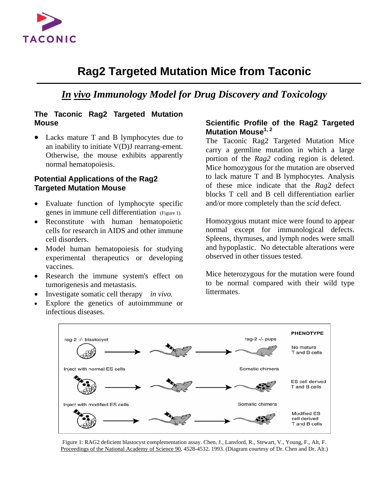

# **Rag2 Targeted Mutation Mice from Taconic**

## *In vivo Immunology Model for Drug Discovery and Toxicology*

### **The Taconic Rag2 Targeted Mutation Mouse**

• Lacks mature T and B lymphocytes due to an inability to initiate V(D)J rearrang-ement. Otherwise, the mouse exhibits apparently normal hematopoiesis.

#### **Potential Applications of the Rag2 Targeted Mutation Mouse**

- Evaluate function of lymphocyte specific genes in immune cell differentiation (Figure 1).
- Reconstitute with human hematopoietic cells for research in AIDS and other immune cell disorders.
- Model human hematopoiesis for studying experimental therapeutics or developing vaccines.
- Research the immune system's effect on tumorigenesis and metastasis.
- Investigate somatic cell therapy *in vivo.*
- Explore the genetics of autoimmune or infectious diseases.

### **Scientific Profile of the Rag2 Targeted Mutation Mouse1, 2**

The Taconic Rag2 Targeted Mutation Mice carry a germline mutation in which a large portion of the *Rag2* coding region is deleted. Mice homozygous for the mutation are observed to lack mature T and B lymphocytes. Analysis of these mice indicate that the *Rag2* defect blocks T cell and B cell differentiation earlier and/or more completely than the *scid* defect.

Homozygous mutant mice were found to appear normal except for immunological defects. Spleens, thymuses, and lymph nodes were small and hypoplastic. No detectable alterations were observed in other tissues tested.

Mice heterozygous for the mutation were found to be normal compared with their wild type littermates.



Figure 1: RAG2 deficient blastocyst complementation assay. Chen, J., Lansford, R., Stewart, V., Young, F., Alt, F. Proceedings of the National Academy of Science 90, 4528-4532. 1993. (Diagram courtesy of Dr. Chen and Dr. Alt.)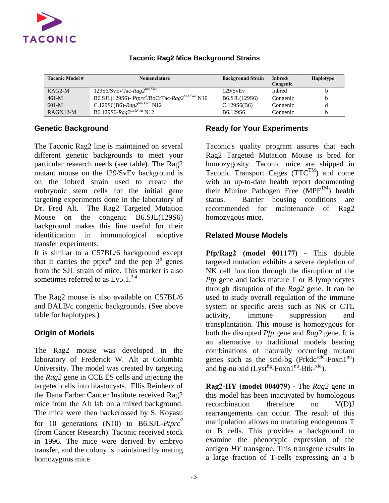

| <b>Taconic Model #</b> | <b>Nomenclature</b>                                                   | <b>Background Strain</b>          | Inbred/<br>Congenic | <b>Haplotype</b> |
|------------------------|-----------------------------------------------------------------------|-----------------------------------|---------------------|------------------|
| $RAG2-M$               | $129S6/SvEvTac-Rag2^{tmIFwa}$                                         | 129/SvEv                          | <b>Inbred</b>       |                  |
| $461-M$                | B6.SJL(129S6)- Ptprc <sup>a</sup> /BoCrTac-Rag2 <sup>tm1Fwa</sup> N10 | B6.SJL(129S6)                     | Congenic            | b                |
| $601-M$                | C.129S6(B6)- $Rag2^{tmIFwa}$ N12                                      | C.129S6(B6)                       | Congenic            |                  |
| $RAGN12-M$             | B6.129S6-Rag2 <sup>tm1Fwa</sup> N12                                   | B <sub>6.129</sub> S <sub>6</sub> | Congenic            | h                |

### **Taconic Rag2 Mice Background Strains**

### **Genetic Background**

The Taconic Rag2 line is maintained on several different genetic backgrounds to meet your particular research needs (see table). The Rag2 mutant mouse on the 129/SvEv background is on the inbred strain used to create the embryonic stem cells for the initial gene targeting experiments done in the laboratory of Dr. Fred Alt. The Rag2 Targeted Mutation Mouse on the congenic B6.SJL(129S6) background makes this line useful for their identification in immunological adoptive transfer experiments.

It is similar to a C57BL/6 background except that it carries the ptpr $c^a$  and the pep  $3^b$  genes from the SJL strain of mice. This marker is also sometimes referred to as  $Ly5.1$ .<sup>3,4</sup>

The Rag2 mouse is also available on C57BL/6 and BALB/c congenic backgrounds. (See above table for haplotypes.)

### **Origin of Models**

The Rag2 mouse was developed in the laboratory of Frederick W. Alt at Columbia University. The model was created by targeting the *Rag2* gene in CCE ES cells and injecting the targeted cells into blastocysts. Ellis Reinherz of the Dana Farber Cancer Institute received Rag2 mice from the Alt lab on a mixed background. The mice were then backcrossed by S. Koyasu for 10 generations (N10) to B6.SJL-*Ptprc<sup>a</sup>* (from Cancer Research). Taconic received stock in 1996. The mice were derived by embryo transfer, and the colony is maintained by mating homozygous mice.

### **Ready for Your Experiments**

Taconic's quality program assures that each Rag2 Targeted Mutation Mouse is bred for homozygosity. Taconic mice are shipped in Taconic Transport Cages  $(TTC^{TM})$  and come with an up-to-date health report documenting their Murine Pathogen Free (MPF<sup>TM</sup>) health status. Barrier housing conditions are recommended for maintenance of Rag2 homozygous mice.

### **Related Mouse Models**

**Pfp/Rag2 (model 001177) -** This double targeted mutation exhibits a severe depletion of NK cell function through the disruption of the *Pfp* gene and lacks mature T or B lymphocytes through disruption of the *Rag2* gene. It can be used to study overall regulation of the immune system or specific areas such as NK or CTL activity, immune suppression and transplantation. This mouse is homozygous for both the disrupted *Pfp* gene and *Rag2* gene. It is an alternative to traditional models bearing combinations of naturally occurring mutant genes such as the scid-bg  $(Prkdc^{scid}$ -Foxn $1^{nu})$ and bg-nu-xid  $(Lyst^{bg}$ -Foxn $1^{nu}$ -Btk-<sup>xid</sup>).

**Rag2-HY (model 004079) -** The *Rag2* gene in this model has been inactivated by homologous recombination therefore no V(D)J rearrangements can occur. The result of this manipulation allows no maturing endogenous T or B cells. This provides a background to examine the phenotypic expression of the antigen *HY* transgene. This transgene results in a large fraction of T-cells expressing an a b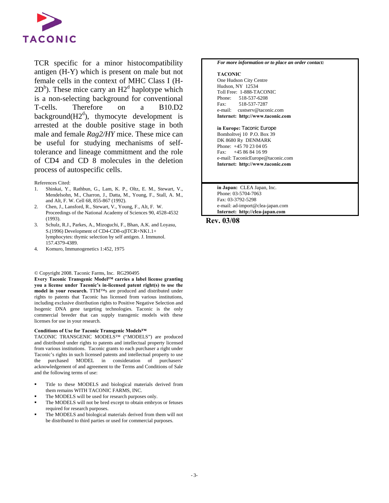

TCR specific for a minor histocompatibility antigen (H-Y) which is present on male but not female cells in the context of MHC Class I (H- $2D<sup>b</sup>$ ). These mice carry an  $H2<sup>d</sup>$  haplotype which is a non-selecting background for conventional T-cells. Therefore on a B10.D2 background( $H2<sup>d</sup>$ ), thymocyte development is arrested at the double positive stage in both male and female *Rag2/HY* mice. These mice can be useful for studying mechanisms of selftolerance and lineage commitment and the role of CD4 and CD 8 molecules in the deletion process of autospecific cells.

#### References Cited:

- 1. Shinkai, Y., Rathbun, G., Lam, K. P., Oltz, E. M., Stewart, V., Mendelsohn, M., Charron, J., Datta, M., Young, F., Stall, A. M., and Alt, F. W. Cell 68, 855-867 (1992).
- 2. Chen, J., Lansford, R., Stewart, V., Young, F., Alt, F. W. Proceedings of the National Academy of Sciences 90, 4528-4532 (1993).
- 3. Schulz, R.J., Parkes, A., Mizoguchi, F., Bhan, A.K. and Loyasu, S.(1996) Development of CD4-CD8-αβTCR+NK1.1+ lymphocytes: thymic selection by self antigen. J. Immunol. 157.4379-4389.
- 4. Komuro, Immunogenetics 1:452, 1975

#### © Copyright 2008. Taconic Farms, Inc. RG290495

**Every Taconic Transgenic Model™ carries a label license granting you a license under Taconic's in-licensed patent right(s) to use the model in your research.** TTM™s are produced and distributed under rights to patents that Taconic has licensed from various institutions, including exclusive distribution rights to Positive Negative Selection and Isogenic DNA gene targeting technologies. Taconic is the only commercial breeder that can supply transgenic models with these licenses for use in your research.

#### **Conditions of Use for Taconic Transgenic Models™**

TACONIC TRANSGENIC MODELS™ ("MODELS") are produced and distributed under rights to patents and intellectual property licensed from various institutions. Taconic grants to each purchaser a right under Taconic's rights in such licensed patents and intellectual property to use the purchased MODEL in consideration of purchasers' acknowledgement of and agreement to the Terms and Conditions of Sale and the following terms of use:

- Title to these MODELS and biological materials derived from them remains WITH TACONIC FARMS, INC.
- The MODELS will be used for research purposes only.
- The MODELS will not be bred except to obtain embryos or fetuses required for research purposes.
- The MODELS and biological materials derived from them will not be distributed to third parties or used for commercial purposes.

#### *For more information or to place an order contact:*

#### **TACONIC**

One Hudson City Centre Hudson, NY 12534 Toll Free: 1-888-TACONIC Phone: 518-537-6208 Fax: 518-537-7287 e-mail: custserv@taconic.com **Internet: http://www.taconic.com** 

**in Europe:** Taconic Europe Bomholtvej 10 P.O. Box 39 DK 8680 Ry DENMARK Phone: +45 70 23 04 05 Fax: +45 86 84 16 99 e-mail: TaconicEurope@taconic.com **Internet: http://www.taconic.com** 

**in Japan:** CLEA Japan, Inc. Phone: 03-5704-7063 Fax: 03-3792-5298 e-mail: ad-import@clea-japan.com **Internet: http://clea-japan.com** 

#### **Rev. 03/08**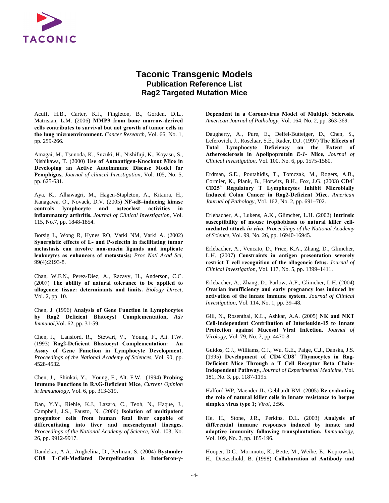

### **Taconic Transgenic Models Publication Reference List Rag2 Targeted Mutation Mice**

Acuff, H.B., Carter, K.J., Fingleton, B., Gorden, D.L., Matrisian, L.M. (2006) **MMP9 from bone marrow-derived cells contributes to survival but not growth of tumor cells in the lung microenvironment.** *Cancer Research,* Vol. 66, No. 1, pp. 259-266.

Amagai, M., Tsunoda, K., Suzuki, H., Nishifuji, K., Koyasu, S., Nishikawa, T. (2000) **Use of Autoantigen-Knockout Mice in Developing an Active Autoimmune Disease Model for Pemphigus,** *Journal of clinical Investigation,* Vol. 105, No. 5, pp. 625-631.

Aya, K., Alhawagri, M., Hagen-Stapleton, A., Kitaura, H., Kanagawa, O., Novack, D.V. (2005) **NF-κB–inducing kinase controls lymphocyte and osteoclast activities in inflammatory arthritis.** *Journal of Clinical Investigation,* Vol. 115, No.7, pp. 1848-1854.

Borsig L, Wong R, Hynes RO, Varki NM, Varki A. (2002) **Synergistic effects of L- and P-selectin in facilitating tumor metastasis can involve non-mucin ligands and implicate leukocytes as enhancers of metastasis;** *Proc Natl Acad Sci,* 99(4):2193-8.

Chan, W.F.N., Perez-Diez, A., Razavy, H., Anderson, C.C. (2007) **The ability of natural tolerance to be applied to allogeneic tissue: determinants and limits.** *Biology Direct,* Vol. 2, pp. 10.

Chen, J. (1996) **Analysis of Gene Function in Lymphocytes by Rag2 Deficient Blatocyst Complementation,** *Adv Immunol,*Vol. 62, pp. 31-59.

Chen, J., Lansford, R., Stewart, V., Young, F., Alt. F.W. (1993) **Rag2-Deficient Blastocyst Complementation: An Assay of Gene Function in Lymphocyte Development**, *Proceedings of the National Academy of Sciences*, Vol. 90, pp. 4528-4532.

Chen, J., Shinkai, Y., Young, F., Alt. F.W. (1994**) Probing Immune Functions in RAG-Deficient Mice**, *Current Opinion in Immunology*, Vol. 6, pp. 313-319.

Dan, Y.Y., Riehle, K.J., Lazaro, C., Teoh, N., Haque, J., Campbell, J.S., Fausto, N. (2006) **Isolation of multipotent progenitor cells from human fetal liver capable of differentiating into liver and mesenchymal lineages.** *Proceedings of the National Academy of Science,* Vol. 103, No. 26, pp. 9912-9917.

Dandekar, A.A., Anghelina, D., Perlman, S. (2004) **Bystander CD8 T-Cell-Mediated Demyelination is Interferon-γ-**

**Dependent in a Coronavirus Model of Multiple Sclerosis.** *American Journal of Pathology,* Vol. 164, No. 2, pp. 363-369.

Daugherty, A., Pure, E., Delfel-Butteiger, D., Chen, S., Leferovich, J., Roselaar, S.E., Rader, D.J. (1997) **The Effects of Total Lymphocyte Deficiency on the Extent of Atherosclerosis in Apolipoprotein** *E-1-* **Mice,** *Journal of Clinical Investigation,* Vol. 100, No. 6, pp. 1575-1580.

Erdman, S.E., Poutahidis, T., Tomczak, M., Rogers, A.B., Cormier, K., Plank, B., Horwitz, B.H., Fox, J.G. (2003) **CD4<sup>+</sup> CD25<sup>+</sup> Regulatory T Lymphocytes Inhibit Microbially Induced Colon Cancer in Rag2-Deficient Mice.** *American Journal of Pathology,* Vol. 162, No. 2, pp. 691–702.

Erlebacher, A., Lukens, A.K., Glimcher, L.H. (2002) **Intrinsic susceptibility of mouse trophoblasts to natural killer cellmediated attack** *in vivo***.** *Proceedings of the National Academy of Science,* Vol. 99, No. 26, pp. 16940-16945.

Erlebacher, A., Vencato, D., Price, K.A., Zhang, D., Glimcher, L.H. (2007) **Constraints in antigen presentation severely restrict T cell recognition of the allogeneic fetus.** *Journal of Clinical Investigation,* Vol. 117, No. 5, pp. 1399–1411.

Erlebacher, A., Zhang, D., Parlow, A.F., Glimcher, L.H. (2004) **Ovarian insufficiency and early pregnancy loss induced by activation of the innate immune system.** *Journal of Clinical Investigation,* Vol. 114, No. 1, pp. 39–48.

Gill, N., Rosenthal, K.L., Ashkar, A.A. (2005) **NK and NKT Cell-Independent Contribution of Interleukin-15 to Innate Protection against Mucosal Viral Infection.** *Journal of Virology,* Vol. 79, No. 7, pp. 4470-8.

Guidos, C.J., Williams, C.J., Wu, G.E., Paige, C.J., Danska, J.S. (1995) **Development of CD4<sup>+</sup> CD8<sup>+</sup> Thymocytes in Rag-Deficient Mice Through a T Cell Receptor Beta Chain-Independent Pathway,** *Journal of Experimental Medicine,* Vol. 181, No. 3, pp. 1187-1195.

Halford WP, Maender JL, Gebhardt BM. (2005) **Re-evaluating the role of natural killer cells in innate resistance to herpes simplex virus type 1;** *Virol*, 2:56.

He, H., Stone, J.R., Perkins, D.L. (2003) **Analysis of differential immune responses induced by innate and adaptive immunity following transplantation.** *Immunology,* Vol. 109, No. 2, pp. 185-196.

Hooper, D.C., Morimoto, K., Bette, M., Weihe, E., Koprowski, H., Dietzschold, B. (1998) **Collaboration of Antibody and**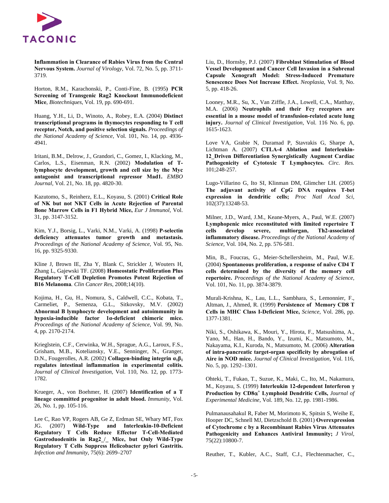

**Inflammation in Clearance of Rabies Virus from the Central Nervous System.** *Journal of Virology,* Vol. 72, No. 5, pp. 3711- 3719.

Horton, R.M., Karachonski, P., Conti-Fine, B. (1995**) PCR Screening of Transgenic Rag2 Knockout Immunodeficient Mice**, *Biotechniques*, Vol. 19, pp. 690-691.

Huang, Y.H., Li, D., Winoto, A., Robey, E.A. (2004) **Distinct transcriptional programs in thymocytes responding to T cell receptor, Notch, and positive selection signals.** *Proceedings of the National Academy of Science,* Vol. 101, No. 14, pp. 4936- 4941.

Iritani, B.M., Delrow, J., Grandori, C., Gomez, I., Klacking, M., Carlos, L.S., Eisenman, R.N. (2002) **Modulation of Tlymphocyte development, growth and cell size by the Myc antagonist and transcriptional repressor Mad1.** *EMBO Journal,* Vol. 21, No. 18, pp. 4820-30.

Kazutomo, S., Reinherz, E.L., Koyasu, S. (2001) **Critical Role of NK but not NKT Cells in Acute Rejection of Parental Bone Marrow Cells in F1 Hybrid Mice,** *Eur J Immunol***, Vol.** 31, pp. 3147-3152.

Kim, Y.J., Borsig, L., Varki, N.M., Varki, A. (1998) **P-selectin deficiency attenuates tumor growth and metastasis.** *Proceedings of the National Academy of Science,* Vol. 95, No. 16, pp. 9325-9330.

Kline J, Brown IE, Zha Y, Blank C, Strickler J, Wouters H, Zhang L, Gajewski TF. (2008) **Homeostatic Proliferation Plus Regulatory T-Cell Depletion Promotes Potent Rejection of B16 Melanoma***. Clin Cancer Res*, 2008;14(10).

Kojima, H., Gu, H., Nomura, S., Caldwell, C.C., Kobata, T., Carmeliet, P., Semenza, G.L., Sitkovsky, M.V. (2002) **Abnormal B lymphocyte development and autoimmunity in hypoxia-inducible factor 1α-deficient chimeric mice.** *Proceedings of the National Academy of Science,* Vol. 99, No. 4, pp. 2170-2174.

Krieglstein, C.F., Cerwinka, W.H., Sprague, A.G., Laroux, F.S., Grisham, M.B., Koteliansky, V.E., Senninger, N., Granger, D.N., Fougerolles, A.R. (2002) **Collagen-binding integrin**  $\alpha_1 \beta_1$ **regulates intestinal inflammation in experimental colitis.** *Journal of Clinical Investigation,* Vol. 110, No. 12, pp. 1773- 1782.

Krueger, A., von Boehmer, H. (2007) **Identification of a T lineage committed progenitor in adult blood.** *Immunity,* Vol. 26, No. 1, pp. 105-116.

Lee C, Rao VP, Rogers AB, Ge Z, Erdman SE, Whary MT, Fox JG. (2007) **Wild-Type and Interleukin-10-Deficient Regulatory T Cells Reduce Effector T-Cell-Mediated Gastroduodenitis in Rag2\_/\_ Mice, but Only Wild-Type Regulatory T Cells Suppress Helicobacter pylori Gastritis.** *Infection and Immunity*, 75(6): 2699–2707

Liu, D., Hornsby, P.J. (2007) **Fibroblast Stimulation of Blood Vessel Development and Cancer Cell Invasion in a Subrenal Capsule Xenograft Model: Stress-Induced Premature Senescence Does Not Increase Effect.** *Neoplasia,* Vol. 9, No. 5, pp. 418-26.

Looney, M.R., Su, X., Van Ziffle, J.A., Lowell, C.A., Matthay, M.A. (2006) **Neutrophils and their Fcγ receptors are essential in a mouse model of transfusion-related acute lung injury.** *Journal of Clinical Investigation,* Vol. 116 No. 6, pp. 1615-1623.

Love VA, Grabie N, Duramad P, Stavrakis G, Sharpe A, Lichtman A. (2007) **CTLA-4 Ablation and Interleukin-12\_Driven Differentiation Synergistically Augment Cardiac Pathogenicity of Cytotoxic T Lymphocytes.** *Circ. Res.* 101;248-257.

Lugo-Villarino G, Ito SI, Klinman DM, Glimcher LH. (2005) **The adjuvant activity of CpG DNA requires T-bet expression in dendritic cells;** *Proc Natl Acad Sci,* 102(37):13248-53.

Milner, J.D., Ward, J.M., Keane-Myers, A., Paul, W.E. (2007) **Lymphopenic mice reconstituted with limited repertoire T cells develop severe, multiorgan, Th2-associated inflammatory disease.** *Proceedings of the National Academy of Science,* Vol. 104, No. 2, pp. 576-581.

Min, B., Foucras, G., Meier-Schellersheim, M., Paul, W.E. (2004) **Spontaneous proliferation, a response of naïve CD4 T cells determined by the diversity of the memory cell repertoire.** *Proceedings of the National Academy of Science,* Vol. 101, No. 11, pp. 3874-3879.

Murali-Krishna, K., Lau, L.L., Sambhara, S., Lemonnier, F., Altman, J., Ahmed, R. (1999) **Persistence of Memory CD8 T Cells in MHC Class I-Deficient Mice,** *Science,* Vol. 286, pp. 1377-1381.

Niki, S., Oshikawa, K., Mouri, Y., Hirota, F., Matsushima, A., Yano, M., Han, H., Bando, Y., Izumi, K., Matsumoto, M., Nakayama, K.I., Kuroda, N., Matsumoto, M. (2006) **Alteration of intra-pancreatic target-organ specificity by abrogation of Aire in NOD mice.** *Journal of Clinical Investigation,* Vol. 116, No. 5, pp. 1292–1301.

Ohteki, T., Fukao, T., Suzue, K., Maki, C., Ito, M., Nakamura, M., Koyasu, S. (1999) **Interleukin 12-dependent Interferon** γ **Production by CD8**α**<sup>+</sup> Lymphoid Dendritic Cells,** *Journal of Experimental Medicine,* Vol. 189, No. 12, pp. 1981-1986.

Pulmanausahakul R, Faber M, Morimoto K, Spitsin S, Weihe E, Hooper DC, Schnell MJ, Dietzschold B. (2001) **Overexpression of Cytochrome c by a Recombinant Rabies Virus Attenuates Pathogenicity and Enhances Antiviral Immunity;** *J Virol,* 75(22):10800-7.

Reuther, T., Kubler, A.C., Staff, C.J., Flechtenmacher, C.,